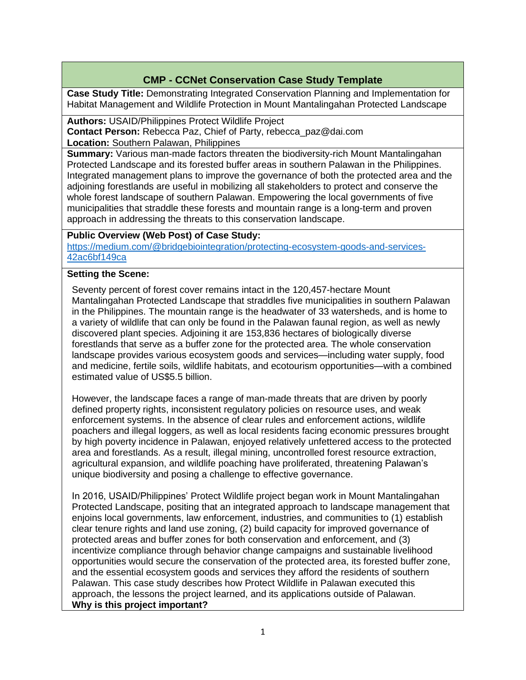# **CMP - CCNet Conservation Case Study Template**

**Case Study Title:** Demonstrating Integrated Conservation Planning and Implementation for Habitat Management and Wildlife Protection in Mount Mantalingahan Protected Landscape

**Authors:** USAID/Philippines Protect Wildlife Project **Contact Person:** Rebecca Paz, Chief of Party, rebecca\_paz@dai.com

**Location:** Southern Palawan, Philippines

**Summary:** Various man-made factors threaten the biodiversity-rich Mount Mantalingahan Protected Landscape and its forested buffer areas in southern Palawan in the Philippines. Integrated management plans to improve the governance of both the protected area and the adjoining forestlands are useful in mobilizing all stakeholders to protect and conserve the whole forest landscape of southern Palawan. Empowering the local governments of five municipalities that straddle these forests and mountain range is a long-term and proven approach in addressing the threats to this conservation landscape.

### **Public Overview (Web Post) of Case Study:**

[https://medium.com/@bridgebiointegration/protecting-ecosystem-goods-and-services-](https://medium.com/@bridgebiointegration/protecting-ecosystem-goods-and-services-42ac6bf149ca)[42ac6bf149ca](https://medium.com/@bridgebiointegration/protecting-ecosystem-goods-and-services-42ac6bf149ca)

### **Setting the Scene:**

Seventy percent of forest cover remains intact in the 120,457-hectare Mount Mantalingahan Protected Landscape that straddles five municipalities in southern Palawan in the Philippines. The mountain range is the headwater of 33 watersheds, and is home to a variety of wildlife that can only be found in the Palawan faunal region, as well as newly discovered plant species. Adjoining it are 153,836 hectares of biologically diverse forestlands that serve as a buffer zone for the protected area. The whole conservation landscape provides various ecosystem goods and services—including water supply, food and medicine, fertile soils, wildlife habitats, and ecotourism opportunities—with a combined estimated value of US\$5.5 billion.

However, the landscape faces a range of man-made threats that are driven by poorly defined property rights, inconsistent regulatory policies on resource uses, and weak enforcement systems. In the absence of clear rules and enforcement actions, wildlife poachers and illegal loggers, as well as local residents facing economic pressures brought by high poverty incidence in Palawan, enjoyed relatively unfettered access to the protected area and forestlands. As a result, illegal mining, uncontrolled forest resource extraction, agricultural expansion, and wildlife poaching have proliferated, threatening Palawan's unique biodiversity and posing a challenge to effective governance.

In 2016, USAID/Philippines' Protect Wildlife project began work in Mount Mantalingahan Protected Landscape, positing that an integrated approach to landscape management that enjoins local governments, law enforcement, industries, and communities to (1) establish clear tenure rights and land use zoning, (2) build capacity for improved governance of protected areas and buffer zones for both conservation and enforcement, and (3) incentivize compliance through behavior change campaigns and sustainable livelihood opportunities would secure the conservation of the protected area, its forested buffer zone, and the essential ecosystem goods and services they afford the residents of southern Palawan. This case study describes how Protect Wildlife in Palawan executed this approach, the lessons the project learned, and its applications outside of Palawan. **Why is this project important?**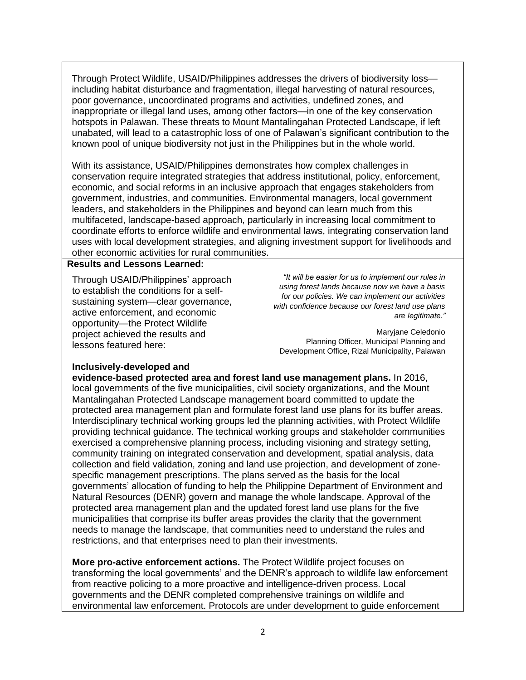Through Protect Wildlife, USAID/Philippines addresses the drivers of biodiversity loss including habitat disturbance and fragmentation, illegal harvesting of natural resources, poor governance, uncoordinated programs and activities, undefined zones, and inappropriate or illegal land uses, among other factors—in one of the key conservation hotspots in Palawan. These threats to Mount Mantalingahan Protected Landscape, if left unabated, will lead to a catastrophic loss of one of Palawan's significant contribution to the known pool of unique biodiversity not just in the Philippines but in the whole world.

With its assistance, USAID/Philippines demonstrates how complex challenges in conservation require integrated strategies that address institutional, policy, enforcement, economic, and social reforms in an inclusive approach that engages stakeholders from government, industries, and communities. Environmental managers, local government leaders, and stakeholders in the Philippines and beyond can learn much from this multifaceted, landscape-based approach, particularly in increasing local commitment to coordinate efforts to enforce wildlife and environmental laws, integrating conservation land uses with local development strategies, and aligning investment support for livelihoods and other economic activities for rural communities.

#### **Results and Lessons Learned:**

Through USAID/Philippines' approach to establish the conditions for a selfsustaining system—clear governance, active enforcement, and economic opportunity—the Protect Wildlife project achieved the results and lessons featured here:

*"It will be easier for us to implement our rules in using forest lands because now we have a basis for our policies. We can implement our activities with confidence because our forest land use plans are legitimate."*

Maryjane Celedonio Planning Officer, Municipal Planning and Development Office, Rizal Municipality, Palawan

### **Inclusively-developed and**

**evidence-based protected area and forest land use management plans.** In 2016, local governments of the five municipalities, civil society organizations, and the Mount Mantalingahan Protected Landscape management board committed to update the protected area management plan and formulate forest land use plans for its buffer areas. Interdisciplinary technical working groups led the planning activities, with Protect Wildlife providing technical guidance. The technical working groups and stakeholder communities exercised a comprehensive planning process, including visioning and strategy setting, community training on integrated conservation and development, spatial analysis, data collection and field validation, zoning and land use projection, and development of zonespecific management prescriptions. The plans served as the basis for the local governments' allocation of funding to help the Philippine Department of Environment and Natural Resources (DENR) govern and manage the whole landscape. Approval of the protected area management plan and the updated forest land use plans for the five municipalities that comprise its buffer areas provides the clarity that the government needs to manage the landscape, that communities need to understand the rules and restrictions, and that enterprises need to plan their investments.

**More pro-active enforcement actions.** The Protect Wildlife project focuses on transforming the local governments' and the DENR's approach to wildlife law enforcement from reactive policing to a more proactive and intelligence-driven process. Local governments and the DENR completed comprehensive trainings on wildlife and environmental law enforcement. Protocols are under development to guide enforcement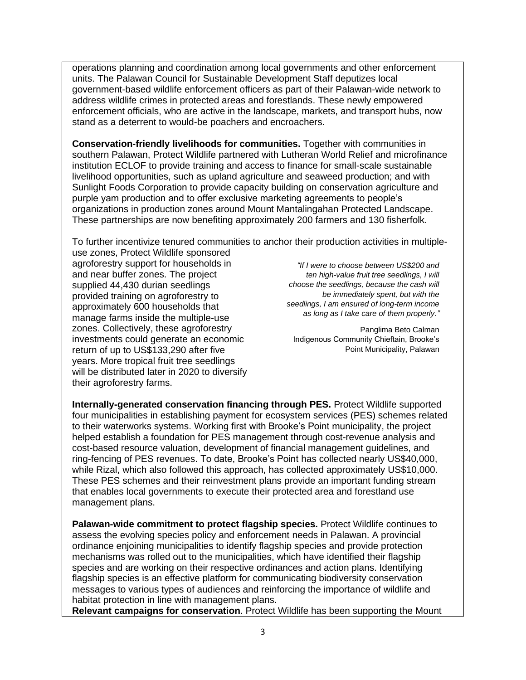operations planning and coordination among local governments and other enforcement units. The Palawan Council for Sustainable Development Staff deputizes local government-based wildlife enforcement officers as part of their Palawan-wide network to address wildlife crimes in protected areas and forestlands. These newly empowered enforcement officials, who are active in the landscape, markets, and transport hubs, now stand as a deterrent to would-be poachers and encroachers.

**Conservation-friendly livelihoods for communities.** Together with communities in southern Palawan, Protect Wildlife partnered with Lutheran World Relief and microfinance institution ECLOF to provide training and access to finance for small-scale sustainable livelihood opportunities, such as upland agriculture and seaweed production; and with Sunlight Foods Corporation to provide capacity building on conservation agriculture and purple yam production and to offer exclusive marketing agreements to people's organizations in production zones around Mount Mantalingahan Protected Landscape. These partnerships are now benefiting approximately 200 farmers and 130 fisherfolk.

To further incentivize tenured communities to anchor their production activities in multiple-

use zones, Protect Wildlife sponsored agroforestry support for households in and near buffer zones. The project supplied 44,430 durian seedlings provided training on agroforestry to approximately 600 households that manage farms inside the multiple-use zones. Collectively, these agroforestry investments could generate an economic return of up to US\$133,290 after five years. More tropical fruit tree seedlings will be distributed later in 2020 to diversify their agroforestry farms.

*"If I were to choose between US\$200 and ten high-value fruit tree seedlings, I will choose the seedlings, because the cash will be immediately spent, but with the seedlings, I am ensured of long-term income as long as I take care of them properly."*

Panglima Beto Calman Indigenous Community Chieftain, Brooke's Point Municipality, Palawan

**Internally-generated conservation financing through PES.** Protect Wildlife supported four municipalities in establishing payment for ecosystem services (PES) schemes related to their waterworks systems. Working first with Brooke's Point municipality, the project helped establish a foundation for PES management through cost-revenue analysis and cost-based resource valuation, development of financial management guidelines, and ring-fencing of PES revenues. To date, Brooke's Point has collected nearly US\$40,000, while Rizal, which also followed this approach, has collected approximately US\$10,000. These PES schemes and their reinvestment plans provide an important funding stream that enables local governments to execute their protected area and forestland use management plans.

**Palawan-wide commitment to protect flagship species.** Protect Wildlife continues to assess the evolving species policy and enforcement needs in Palawan. A provincial ordinance enjoining municipalities to identify flagship species and provide protection mechanisms was rolled out to the municipalities, which have identified their flagship species and are working on their respective ordinances and action plans. Identifying flagship species is an effective platform for communicating biodiversity conservation messages to various types of audiences and reinforcing the importance of wildlife and habitat protection in line with management plans.

**Relevant campaigns for conservation**. Protect Wildlife has been supporting the Mount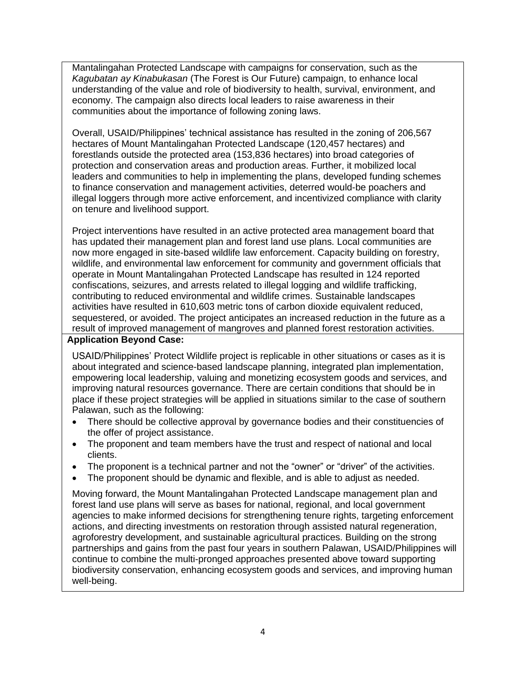Mantalingahan Protected Landscape with campaigns for conservation, such as the *Kagubatan ay Kinabukasan* (The Forest is Our Future) campaign, to enhance local understanding of the value and role of biodiversity to health, survival, environment, and economy. The campaign also directs local leaders to raise awareness in their communities about the importance of following zoning laws.

Overall, USAID/Philippines' technical assistance has resulted in the zoning of 206,567 hectares of Mount Mantalingahan Protected Landscape (120,457 hectares) and forestlands outside the protected area (153,836 hectares) into broad categories of protection and conservation areas and production areas. Further, it mobilized local leaders and communities to help in implementing the plans, developed funding schemes to finance conservation and management activities, deterred would-be poachers and illegal loggers through more active enforcement, and incentivized compliance with clarity on tenure and livelihood support.

Project interventions have resulted in an active protected area management board that has updated their management plan and forest land use plans. Local communities are now more engaged in site-based wildlife law enforcement. Capacity building on forestry, wildlife, and environmental law enforcement for community and government officials that operate in Mount Mantalingahan Protected Landscape has resulted in 124 reported confiscations, seizures, and arrests related to illegal logging and wildlife trafficking, contributing to reduced environmental and wildlife crimes. Sustainable landscapes activities have resulted in 610,603 metric tons of carbon dioxide equivalent reduced, sequestered, or avoided. The project anticipates an increased reduction in the future as a result of improved management of mangroves and planned forest restoration activities.

### **Application Beyond Case:**

USAID/Philippines' Protect Wildlife project is replicable in other situations or cases as it is about integrated and science-based landscape planning, integrated plan implementation, empowering local leadership, valuing and monetizing ecosystem goods and services, and improving natural resources governance. There are certain conditions that should be in place if these project strategies will be applied in situations similar to the case of southern Palawan, such as the following:

- There should be collective approval by governance bodies and their constituencies of the offer of project assistance.
- The proponent and team members have the trust and respect of national and local clients.
- The proponent is a technical partner and not the "owner" or "driver" of the activities.
- The proponent should be dynamic and flexible, and is able to adjust as needed.

Moving forward, the Mount Mantalingahan Protected Landscape management plan and forest land use plans will serve as bases for national, regional, and local government agencies to make informed decisions for strengthening tenure rights, targeting enforcement actions, and directing investments on restoration through assisted natural regeneration, agroforestry development, and sustainable agricultural practices. Building on the strong partnerships and gains from the past four years in southern Palawan, USAID/Philippines will continue to combine the multi-pronged approaches presented above toward supporting biodiversity conservation, enhancing ecosystem goods and services, and improving human well-being.